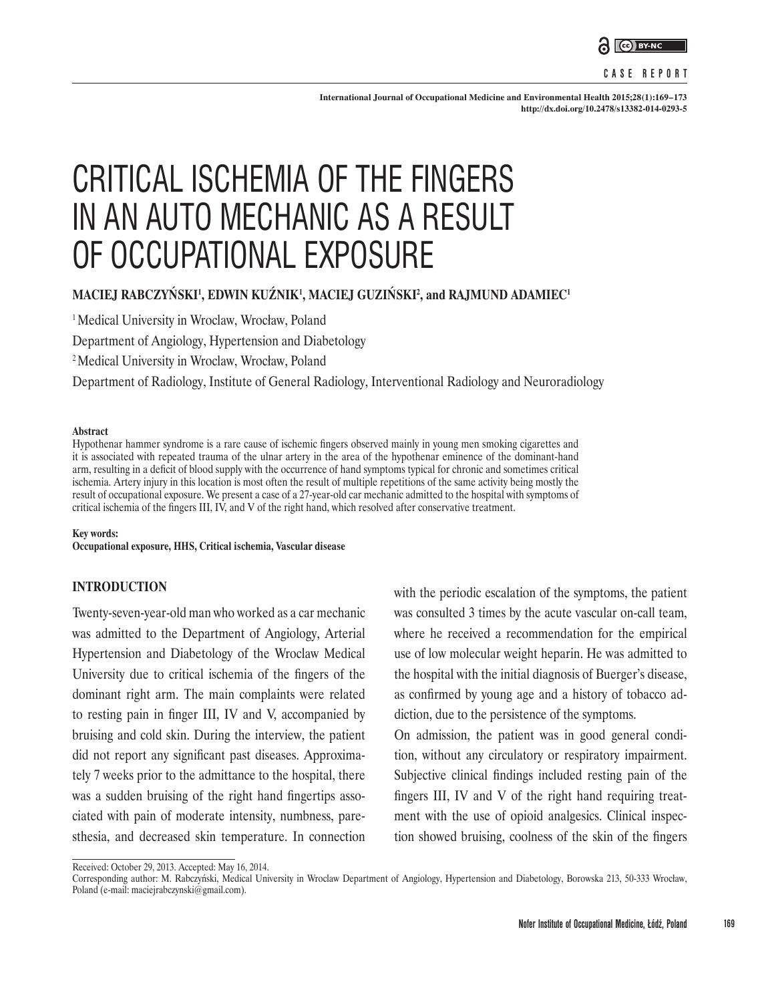

## **CASE REPORT**

**International Journal of Occupational Medicine and Environmental Health 2015;28(1):169–173 http://dx.doi.org/10.2478/s13382-014-0293-5**

# CRITICAL ISCHEMIA OF THE FINGERS IN AN AUTO MECHANIC AS A RESULT OF OCCUPATIONAL EXPOSURE

# **MACIEJ RABCZYŃSKI<sup>1</sup> , EDWIN KUŹNIK<sup>1</sup> , MACIEJ GUZIŃSKI<sup>2</sup> , and RAJMUND ADAMIEC<sup>1</sup>**

<sup>1</sup> Medical University in Wroclaw, Wrocław, Poland

Department of Angiology, Hypertension and Diabetology

<sup>2</sup>Medical University in Wroclaw, Wrocław, Poland

Department of Radiology, Institute of General Radiology, Interventional Radiology and Neuroradiology

#### **Abstract**

Hypothenar hammer syndrome is a rare cause of ischemic fingers observed mainly in young men smoking cigarettes and it is associated with repeated trauma of the ulnar artery in the area of the hypothenar eminence of the dominant-hand arm, resulting in a deficit of blood supply with the occurrence of hand symptoms typical for chronic and sometimes critical ischemia. Artery injury in this location is most often the result of multiple repetitions of the same activity being mostly the result of occupational exposure. We present a case of a 27-year-old car mechanic admitted to the hospital with symptoms of critical ischemia of the fingers III, IV, and V of the right hand, which resolved after conservative treatment.

#### **Key words:**

**Occupational exposure, HHS, Critical ischemia, Vascular disease**

# **INTRODUCTION**

Twenty-seven-year-old man who worked as a car mechanic was admitted to the Department of Angiology, Arterial Hypertension and Diabetology of the Wroclaw Medical University due to critical ischemia of the fingers of the dominant right arm. The main complaints were related to resting pain in finger III, IV and V, accompanied by bruising and cold skin. During the interview, the patient did not report any significant past diseases. Approximately 7 weeks prior to the admittance to the hospital, there was a sudden bruising of the right hand fingertips associated with pain of moderate intensity, numbness, paresthesia, and decreased skin temperature. In connection

with the periodic escalation of the symptoms, the patient was consulted 3 times by the acute vascular on-call team, where he received a recommendation for the empirical use of low molecular weight heparin. He was admitted to the hospital with the initial diagnosis of Buerger's disease, as confirmed by young age and a history of tobacco addiction, due to the persistence of the symptoms.

On admission, the patient was in good general condition, without any circulatory or respiratory impairment. Subjective clinical findings included resting pain of the fingers III, IV and V of the right hand requiring treatment with the use of opioid analgesics. Clinical inspection showed bruising, coolness of the skin of the fingers

Received: October 29, 2013. Accepted: May 16, 2014.

Corresponding author: M. Rabczyński, Medical University in Wroclaw Department of Angiology, Hypertension and Diabetology, Borowska 213, 50-333 Wrocław, Poland (e-mail: maciejrabczynski@gmail.com).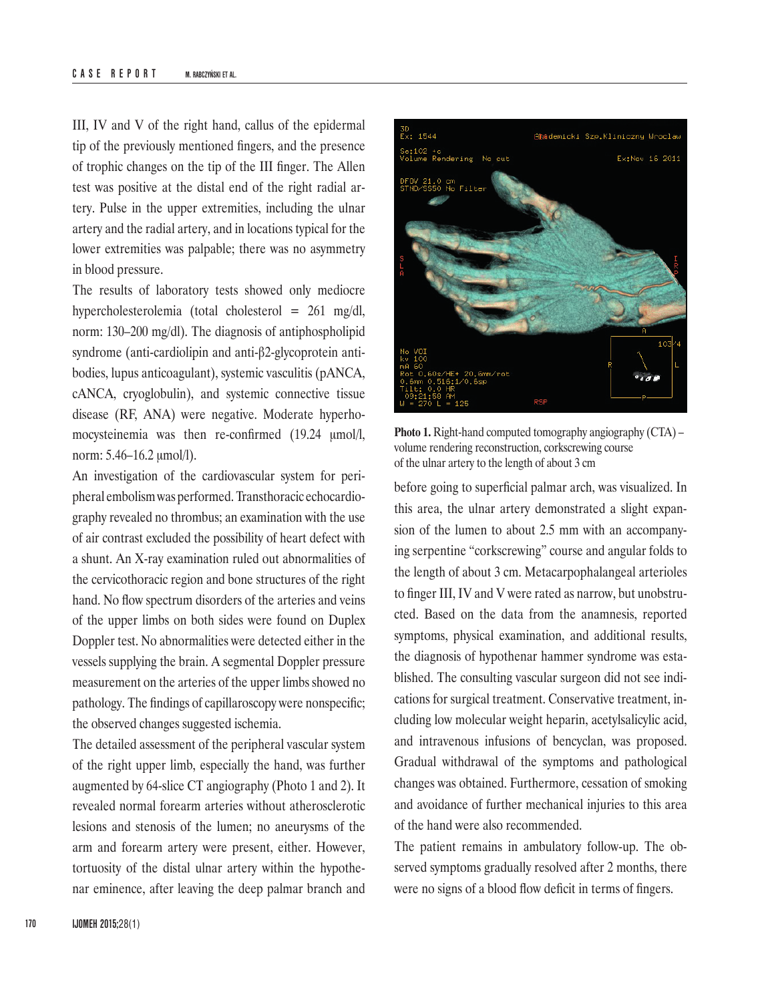III, IV and V of the right hand, callus of the epidermal tip of the previously mentioned fingers, and the presence of trophic changes on the tip of the III finger. The Allen test was positive at the distal end of the right radial artery. Pulse in the upper extremities, including the ulnar artery and the radial artery, and in locations typical for the lower extremities was palpable; there was no asymmetry in blood pressure.

The results of laboratory tests showed only mediocre hypercholesterolemia (total cholesterol = 261 mg/dl, norm: 130–200 mg/dl). The diagnosis of antiphospholipid syndrome (anti-cardiolipin and anti-β2-glycoprotein antibodies, lupus anticoagulant), systemic vasculitis (pANCA, cANCA, cryoglobulin), and systemic connective tissue disease (RF, ANA) were negative. Moderate hyperhomocysteinemia was then re-confirmed (19.24 μmol/l, norm: 5.46–16.2 μmol/l).

An investigation of the cardiovascular system for peripheral embolism was performed. Transthoracic echocardiography revealed no thrombus; an examination with the use of air contrast excluded the possibility of heart defect with a shunt. An X-ray examination ruled out abnormalities of the cervicothoracic region and bone structures of the right hand. No flow spectrum disorders of the arteries and veins of the upper limbs on both sides were found on Duplex Doppler test. No abnormalities were detected either in the vessels supplying the brain. A segmental Doppler pressure measurement on the arteries of the upper limbs showed no pathology. The findings of capillaroscopy were nonspecific; the observed changes suggested ischemia.

The detailed assessment of the peripheral vascular system of the right upper limb, especially the hand, was further augmented by 64-slice CT angiography (Photo 1 and 2). It revealed normal forearm arteries without atherosclerotic lesions and stenosis of the lumen; no aneurysms of the arm and forearm artery were present, either. However, tortuosity of the distal ulnar artery within the hypothenar eminence, after leaving the deep palmar branch and



**Photo 1.** Right-hand computed tomography angiography (CTA) – volume rendering reconstruction, corkscrewing course of the ulnar artery to the length of about 3 cm

before going to superficial palmar arch, was visualized. In this area, the ulnar artery demonstrated a slight expansion of the lumen to about 2.5 mm with an accompanying serpentine "corkscrewing" course and angular folds to the length of about 3 cm. Metacarpophalangeal arterioles to finger III, IV and V were rated as narrow, but unobstructed. Based on the data from the anamnesis, reported symptoms, physical examination, and additional results, the diagnosis of hypothenar hammer syndrome was established. The consulting vascular surgeon did not see indications for surgical treatment. Conservative treatment, including low molecular weight heparin, acetylsalicylic acid, and intravenous infusions of bencyclan, was proposed. Gradual withdrawal of the symptoms and pathological changes was obtained. Furthermore, cessation of smoking and avoidance of further mechanical injuries to this area of the hand were also recommended.

The patient remains in ambulatory follow-up. The observed symptoms gradually resolved after 2 months, there were no signs of a blood flow deficit in terms of fingers.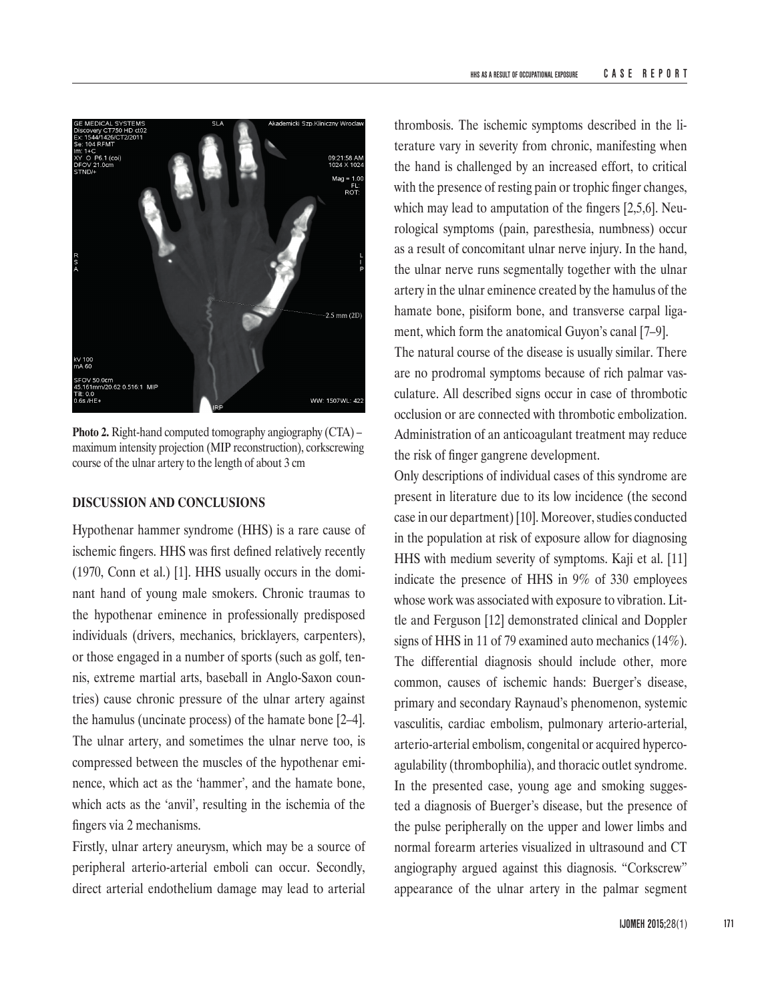

**Photo 2.** Right-hand computed tomography angiography (CTA) – maximum intensity projection (MIP reconstruction), corkscrewing course of the ulnar artery to the length of about 3 cm

## **DISCUSSION AND CONCLUSIONS**

Hypothenar hammer syndrome (HHS) is a rare cause of ischemic fingers. HHS was first defined relatively recently (1970, Conn et al.) [1]. HHS usually occurs in the dominant hand of young male smokers. Chronic traumas to the hypothenar eminence in professionally predisposed individuals (drivers, mechanics, bricklayers, carpenters), or those engaged in a number of sports (such as golf, tennis, extreme martial arts, baseball in Anglo-Saxon countries) cause chronic pressure of the ulnar artery against the hamulus (uncinate process) of the hamate bone [2–4]. The ulnar artery, and sometimes the ulnar nerve too, is compressed between the muscles of the hypothenar eminence, which act as the 'hammer', and the hamate bone, which acts as the 'anvil', resulting in the ischemia of the fingers via 2 mechanisms.

Firstly, ulnar artery aneurysm, which may be a source of peripheral arterio-arterial emboli can occur. Secondly, direct arterial endothelium damage may lead to arterial

thrombosis. The ischemic symptoms described in the literature vary in severity from chronic, manifesting when the hand is challenged by an increased effort, to critical with the presence of resting pain or trophic finger changes, which may lead to amputation of the fingers [2,5,6]. Neurological symptoms (pain, paresthesia, numbness) occur as a result of concomitant ulnar nerve injury. In the hand, the ulnar nerve runs segmentally together with the ulnar artery in the ulnar eminence created by the hamulus of the hamate bone, pisiform bone, and transverse carpal ligament, which form the anatomical Guyon's canal [7–9].

The natural course of the disease is usually similar. There are no prodromal symptoms because of rich palmar vasculature. All described signs occur in case of thrombotic occlusion or are connected with thrombotic embolization. Administration of an anticoagulant treatment may reduce the risk of finger gangrene development.

Only descriptions of individual cases of this syndrome are present in literature due to its low incidence (the second case in our department)[10]. Moreover, studies conducted in the population at risk of exposure allow for diagnosing HHS with medium severity of symptoms. Kaji et al. [11] indicate the presence of HHS in 9% of 330 employees whose work was associated with exposure to vibration. Little and Ferguson [12] demonstrated clinical and Doppler signs of HHS in 11 of 79 examined auto mechanics (14%). The differential diagnosis should include other, more common, causes of ischemic hands: Buerger's disease, primary and secondary Raynaud's phenomenon, systemic vasculitis, cardiac embolism, pulmonary arterio-arterial, arterio-arterial embolism, congenital or acquired hypercoagulability (thrombophilia), and thoracic outlet syndrome. In the presented case, young age and smoking suggested a diagnosis of Buerger's disease, but the presence of the pulse peripherally on the upper and lower limbs and normal forearm arteries visualized in ultrasound and CT angiography argued against this diagnosis. "Corkscrew" appearance of the ulnar artery in the palmar segment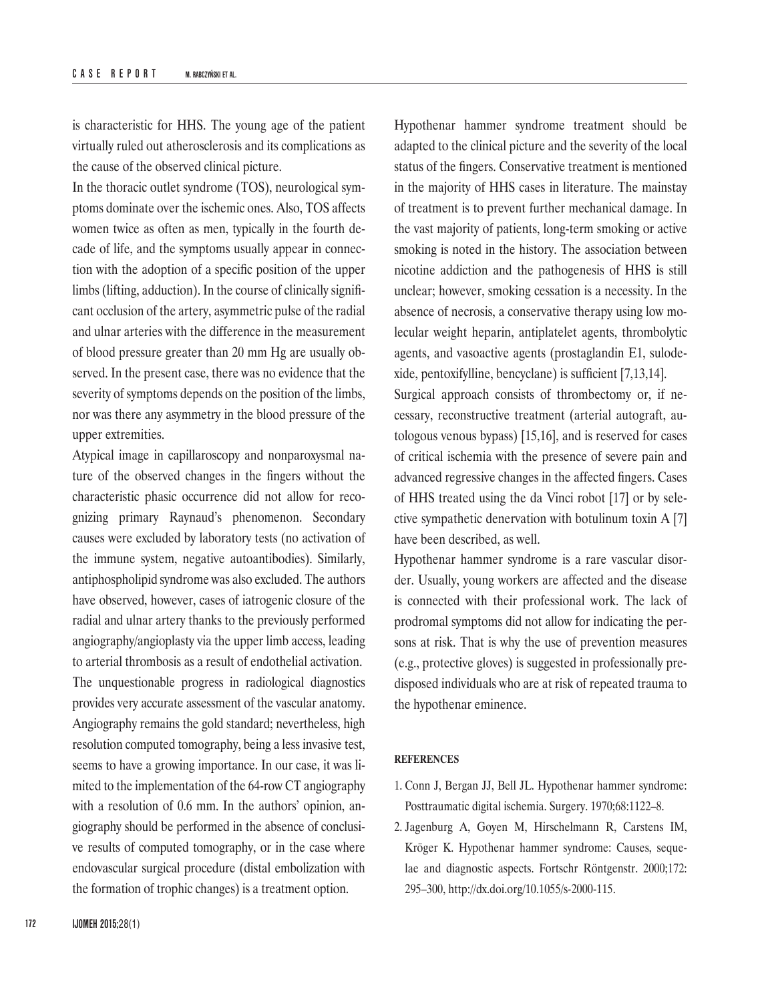is characteristic for HHS. The young age of the patient virtually ruled out atherosclerosis and its complications as the cause of the observed clinical picture.

In the thoracic outlet syndrome (TOS), neurological symptoms dominate over the ischemic ones. Also, TOS affects women twice as often as men, typically in the fourth decade of life, and the symptoms usually appear in connection with the adoption of a specific position of the upper limbs (lifting, adduction). In the course of clinically significant occlusion of the artery, asymmetric pulse of the radial and ulnar arteries with the difference in the measurement of blood pressure greater than 20 mm Hg are usually observed. In the present case, there was no evidence that the severity of symptoms depends on the position of the limbs, nor was there any asymmetry in the blood pressure of the upper extremities.

Atypical image in capillaroscopy and nonparoxysmal nature of the observed changes in the fingers without the characteristic phasic occurrence did not allow for recognizing primary Raynaud's phenomenon. Secondary causes were excluded by laboratory tests (no activation of the immune system, negative autoantibodies). Similarly, antiphospholipid syndrome was also excluded. The authors have observed, however, cases of iatrogenic closure of the radial and ulnar artery thanks to the previously performed angiography/angioplasty via the upper limb access, leading to arterial thrombosis as a result of endothelial activation. The unquestionable progress in radiological diagnostics provides very accurate assessment of the vascular anatomy. Angiography remains the gold standard; nevertheless, high resolution computed tomography, being a less invasive test, seems to have a growing importance. In our case, it was limited to the implementation of the 64-row CT angiography with a resolution of 0.6 mm. In the authors' opinion, angiography should be performed in the absence of conclusive results of computed tomography, or in the case where endovascular surgical procedure (distal embolization with the formation of trophic changes) is a treatment option.

Hypothenar hammer syndrome treatment should be adapted to the clinical picture and the severity of the local status of the fingers. Conservative treatment is mentioned in the majority of HHS cases in literature. The mainstay of treatment is to prevent further mechanical damage. In the vast majority of patients, long-term smoking or active smoking is noted in the history. The association between nicotine addiction and the pathogenesis of HHS is still unclear; however, smoking cessation is a necessity. In the absence of necrosis, a conservative therapy using low molecular weight heparin, antiplatelet agents, thrombolytic agents, and vasoactive agents (prostaglandin E1, sulodexide, pentoxifylline, bencyclane) is sufficient [7,13,14].

Surgical approach consists of thrombectomy or, if necessary, reconstructive treatment (arterial autograft, autologous venous bypass) [15,16], and is reserved for cases of critical ischemia with the presence of severe pain and advanced regressive changes in the affected fingers. Cases of HHS treated using the da Vinci robot [17] or by selective sympathetic denervation with botulinum toxin A [7] have been described, as well.

Hypothenar hammer syndrome is a rare vascular disorder. Usually, young workers are affected and the disease is connected with their professional work. The lack of prodromal symptoms did not allow for indicating the persons at risk. That is why the use of prevention measures (e.g., protective gloves) is suggested in professionally predisposed individuals who are at risk of repeated trauma to the hypothenar eminence.

## **REFERENCES**

- 1. Conn J, Bergan JJ, Bell JL. Hypothenar hammer syndrome: Posttraumatic digital ischemia. Surgery. 1970;68:1122–8.
- 2. Jagenburg A, Goyen M, Hirschelmann R, Carstens IM, Kröger K. Hypothenar hammer syndrome: Causes, sequelae and diagnostic aspects. Fortschr Röntgenstr. 2000;172: 295–300,<http://dx.doi.org/10.1055/s-2000-115>.